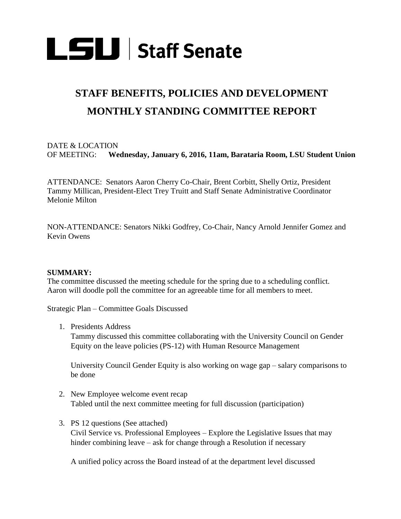

# **STAFF BENEFITS, POLICIES AND DEVELOPMENT MONTHLY STANDING COMMITTEE REPORT**

# DATE & LOCATION OF MEETING: **Wednesday, January 6, 2016, 11am, Barataria Room, LSU Student Union**

ATTENDANCE: Senators Aaron Cherry Co-Chair, Brent Corbitt, Shelly Ortiz, President Tammy Millican, President-Elect Trey Truitt and Staff Senate Administrative Coordinator Melonie Milton

NON-ATTENDANCE: Senators Nikki Godfrey, Co-Chair, Nancy Arnold Jennifer Gomez and Kevin Owens

#### **SUMMARY:**

The committee discussed the meeting schedule for the spring due to a scheduling conflict. Aaron will doodle poll the committee for an agreeable time for all members to meet.

Strategic Plan – Committee Goals Discussed

1. Presidents Address

Tammy discussed this committee collaborating with the University Council on Gender Equity on the leave policies (PS-12) with Human Resource Management

University Council Gender Equity is also working on wage gap – salary comparisons to be done

- 2. New Employee welcome event recap Tabled until the next committee meeting for full discussion (participation)
- 3. PS 12 questions (See attached) Civil Service vs. Professional Employees – Explore the Legislative Issues that may hinder combining leave – ask for change through a Resolution if necessary

A unified policy across the Board instead of at the department level discussed